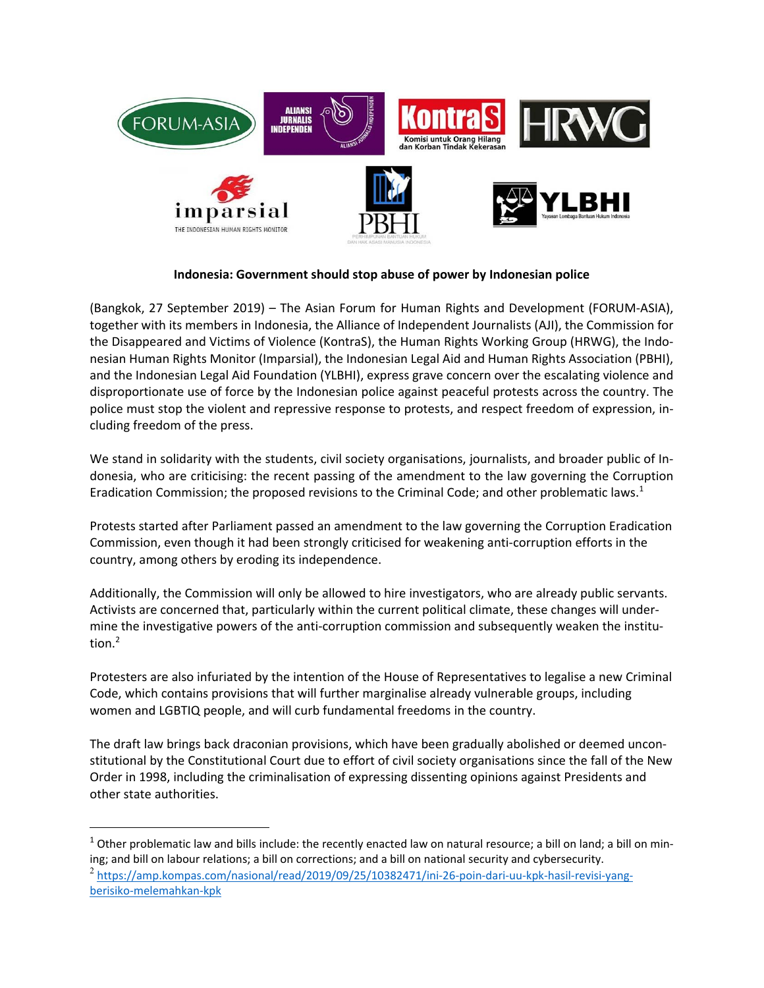

## **Indonesia: Government should stop abuse of power by Indonesian police**

(Bangkok, 27 September 2019) – The Asian Forum for Human Rights and Development (FORUM‐ASIA), together with its members in Indonesia, the Alliance of Independent Journalists (AJI), the Commission for the Disappeared and Victims of Violence (KontraS), the Human Rights Working Group (HRWG), the Indo‐ nesian Human Rights Monitor (Imparsial), the Indonesian Legal Aid and Human Rights Association (PBHI), and the Indonesian Legal Aid Foundation (YLBHI), express grave concern over the escalating violence and disproportionate use of force by the Indonesian police against peaceful protests across the country. The police must stop the violent and repressive response to protests, and respect freedom of expression, in‐ cluding freedom of the press.

We stand in solidarity with the students, civil society organisations, journalists, and broader public of Indonesia, who are criticising: the recent passing of the amendment to the law governing the Corruption Eradication Commission; the proposed revisions to the Criminal Code; and other problematic laws.<sup>1</sup>

Protests started after Parliament passed an amendment to the law governing the Corruption Eradication Commission, even though it had been strongly criticised for weakening anti‐corruption efforts in the country, among others by eroding its independence.

Additionally, the Commission will only be allowed to hire investigators, who are already public servants. Activists are concerned that, particularly within the current political climate, these changes will under‐ mine the investigative powers of the anti-corruption commission and subsequently weaken the institution. $<sup>2</sup>$ </sup>

Protesters are also infuriated by the intention of the House of Representatives to legalise a new Criminal Code, which contains provisions that will further marginalise already vulnerable groups, including women and LGBTIQ people, and will curb fundamental freedoms in the country.

The draft law brings back draconian provisions, which have been gradually abolished or deemed uncon‐ stitutional by the Constitutional Court due to effort of civil society organisations since the fall of the New Order in 1998, including the criminalisation of expressing dissenting opinions against Presidents and other state authorities.

 $\overline{a}$ 

 $^1$  Other problematic law and bills include: the recently enacted law on natural resource; a bill on land; a bill on mining; and bill on labour relations; a bill on corrections; and a bill on national security and cybersecurity.

<sup>&</sup>lt;sup>2</sup> https://amp.kompas.com/nasional/read/2019/09/25/10382471/ini-26-poin-dari-uu-kpk-hasil-revisi-yangberisiko‐melemahkan‐kpk